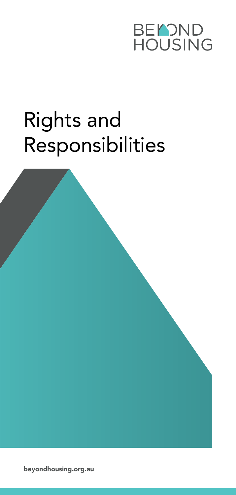

# Rights and Responsibilities

beyondhousing.org.au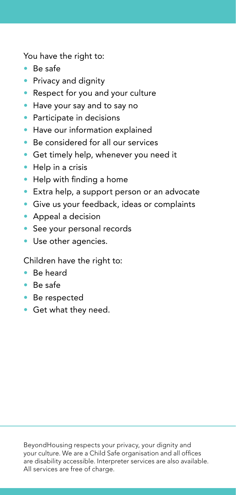You have the right to:

- Be safe
- Privacy and dignity
- Respect for you and your culture
- Have your say and to say no
- Participate in decisions
- Have our information explained
- Be considered for all our services
- Get timely help, whenever you need it
- Help in a crisis
- Help with finding a home
- Extra help, a support person or an advocate
- Give us your feedback, ideas or complaints
- Appeal a decision
- See your personal records
- Use other agencies.

Children have the right to:

- Be heard
- Be safe
- Be respected
- Get what they need.

BeyondHousing respects your privacy, your dignity and your culture. We are a Child Safe organisation and all offices are disability accessible. Interpreter services are also available. All services are free of charge.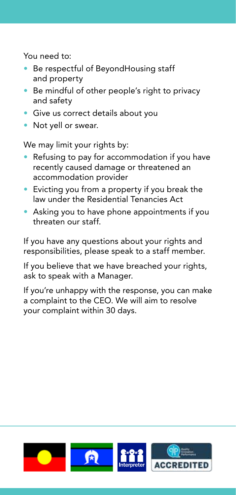You need to:

- Be respectful of BevondHousing staff and property
- Be mindful of other people's right to privacy and safety
- Give us correct details about you
- Not yell or swear.

We may limit your rights by:

- Refusing to pay for accommodation if you have recently caused damage or threatened an accommodation provider
- Evicting you from a property if you break the law under the Residential Tenancies Act
- Asking you to have phone appointments if you threaten our staff.

If you have any questions about your rights and responsibilities, please speak to a staff member.

If you believe that we have breached your rights, ask to speak with a Manager.

If you're unhappy with the response, you can make a complaint to the CEO. We will aim to resolve your complaint within 30 days.